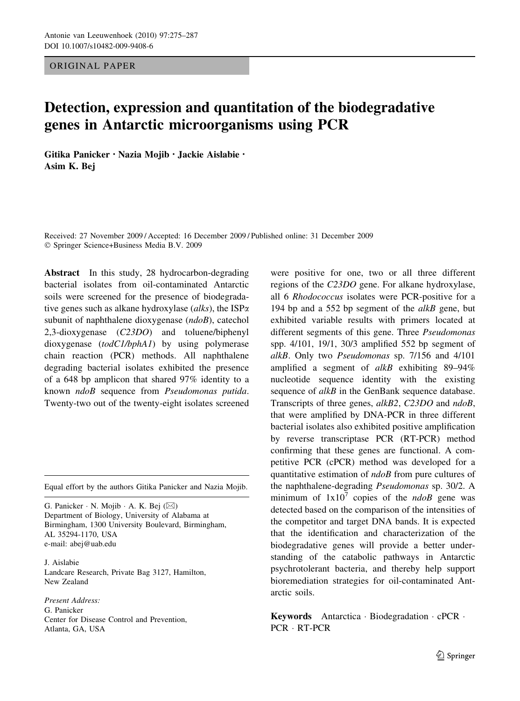ORIGINAL PAPER

# Detection, expression and quantitation of the biodegradative genes in Antarctic microorganisms using PCR

Gitika Panicker • Nazia Mojib • Jackie Aislabie • Asim K. Bej

Received: 27 November 2009 / Accepted: 16 December 2009 / Published online: 31 December 2009 Springer Science+Business Media B.V. 2009

Abstract In this study, 28 hydrocarbon-degrading bacterial isolates from oil-contaminated Antarctic soils were screened for the presence of biodegradative genes such as alkane hydroxylase (alks), the  $ISP\alpha$ subunit of naphthalene dioxygenase (ndoB), catechol 2,3-dioxygenase (C23DO) and toluene/biphenyl dioxygenase (todC1/bphA1) by using polymerase chain reaction (PCR) methods. All naphthalene degrading bacterial isolates exhibited the presence of a 648 bp amplicon that shared 97% identity to a known ndoB sequence from Pseudomonas putida. Twenty-two out of the twenty-eight isolates screened

Equal effort by the authors Gitika Panicker and Nazia Mojib.

G. Panicker  $\cdot$  N. Mojib  $\cdot$  A. K. Bej ( $\boxtimes$ ) Department of Biology, University of Alabama at Birmingham, 1300 University Boulevard, Birmingham, AL 35294-1170, USA e-mail: abej@uab.edu

J. Aislabie Landcare Research, Private Bag 3127, Hamilton, New Zealand

Present Address: G. Panicker Center for Disease Control and Prevention, Atlanta, GA, USA

were positive for one, two or all three different regions of the C23DO gene. For alkane hydroxylase, all 6 Rhodococcus isolates were PCR-positive for a 194 bp and a 552 bp segment of the  $alkB$  gene, but exhibited variable results with primers located at different segments of this gene. Three Pseudomonas spp. 4/101, 19/1, 30/3 amplified 552 bp segment of alkB. Only two Pseudomonas sp. 7/156 and 4/101 amplified a segment of  $alkB$  exhibiting 89–94% nucleotide sequence identity with the existing sequence of alkB in the GenBank sequence database. Transcripts of three genes, alkB2, C23DO and ndoB, that were amplified by DNA-PCR in three different bacterial isolates also exhibited positive amplification by reverse transcriptase PCR (RT-PCR) method confirming that these genes are functional. A competitive PCR (cPCR) method was developed for a quantitative estimation of ndoB from pure cultures of the naphthalene-degrading Pseudomonas sp. 30/2. A minimum of  $1x10^7$  copies of the *ndoB* gene was detected based on the comparison of the intensities of the competitor and target DNA bands. It is expected that the identification and characterization of the biodegradative genes will provide a better understanding of the catabolic pathways in Antarctic psychrotolerant bacteria, and thereby help support bioremediation strategies for oil-contaminated Antarctic soils.

**Keywords** Antarctica  $\cdot$  Biodegradation  $\cdot$  cPCR  $\cdot$ PCR · RT-PCR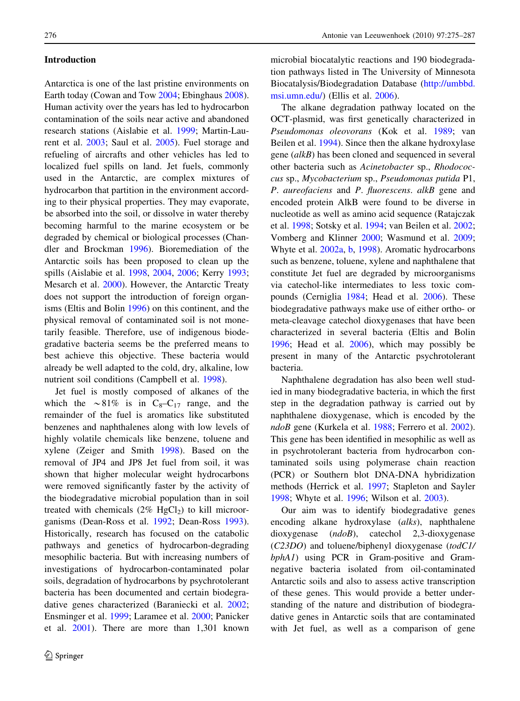# Introduction

Antarctica is one of the last pristine environments on Earth today (Cowan and Tow [2004;](#page-11-0) Ebinghaus [2008](#page-11-0)). Human activity over the years has led to hydrocarbon contamination of the soils near active and abandoned research stations (Aislabie et al. [1999;](#page-10-0) Martin-Laurent et al. [2003;](#page-11-0) Saul et al. [2005\)](#page-11-0). Fuel storage and refueling of aircrafts and other vehicles has led to localized fuel spills on land. Jet fuels, commonly used in the Antarctic, are complex mixtures of hydrocarbon that partition in the environment according to their physical properties. They may evaporate, be absorbed into the soil, or dissolve in water thereby becoming harmful to the marine ecosystem or be degraded by chemical or biological processes (Chandler and Brockman [1996\)](#page-11-0). Bioremediation of the Antarctic soils has been proposed to clean up the spills (Aislabie et al. [1998,](#page-10-0) [2004,](#page-10-0) [2006;](#page-10-0) Kerry [1993](#page-11-0); Mesarch et al. [2000](#page-11-0)). However, the Antarctic Treaty does not support the introduction of foreign organisms (Eltis and Bolin [1996](#page-11-0)) on this continent, and the physical removal of contaminated soil is not monetarily feasible. Therefore, use of indigenous biodegradative bacteria seems be the preferred means to best achieve this objective. These bacteria would already be well adapted to the cold, dry, alkaline, low nutrient soil conditions (Campbell et al. [1998](#page-10-0)).

Jet fuel is mostly composed of alkanes of the which the  $\sim 81\%$  is in C<sub>8</sub>–C<sub>17</sub> range, and the remainder of the fuel is aromatics like substituted benzenes and naphthalenes along with low levels of highly volatile chemicals like benzene, toluene and xylene (Zeiger and Smith [1998\)](#page-12-0). Based on the removal of JP4 and JP8 Jet fuel from soil, it was shown that higher molecular weight hydrocarbons were removed significantly faster by the activity of the biodegradative microbial population than in soil treated with chemicals  $(2\% \text{ HgCl}_2)$  to kill microorganisms (Dean-Ross et al. [1992](#page-11-0); Dean-Ross [1993](#page-11-0)). Historically, research has focused on the catabolic pathways and genetics of hydrocarbon-degrading mesophilic bacteria. But with increasing numbers of investigations of hydrocarbon-contaminated polar soils, degradation of hydrocarbons by psychrotolerant bacteria has been documented and certain biodegradative genes characterized (Baraniecki et al. [2002](#page-10-0); Ensminger et al. [1999](#page-11-0); Laramee et al. [2000;](#page-11-0) Panicker et al. [2001](#page-11-0)). There are more than 1,301 known

microbial biocatalytic reactions and 190 biodegradation pathways listed in The University of Minnesota Biocatalysis/Biodegradation Database [\(http://umbbd.](http://umbbd.msi.umn.edu/) [msi.umn.edu/](http://umbbd.msi.umn.edu/)) (Ellis et al. [2006\)](#page-11-0).

The alkane degradation pathway located on the OCT-plasmid, was first genetically characterized in Pseudomonas oleovorans (Kok et al. [1989](#page-11-0); van Beilen et al. [1994](#page-12-0)). Since then the alkane hydroxylase gene (alkB) has been cloned and sequenced in several other bacteria such as Acinetobacter sp., Rhodococcus sp., Mycobacterium sp., Pseudomonas putida P1, P. aureofaciens and P. fluorescens. alkB gene and encoded protein AlkB were found to be diverse in nucleotide as well as amino acid sequence (Ratajczak et al. [1998](#page-11-0); Sotsky et al. [1994](#page-12-0); van Beilen et al. [2002;](#page-12-0) Vomberg and Klinner [2000](#page-12-0); Wasmund et al. [2009](#page-12-0); Whyte et al. [2002a](#page-12-0), [b,](#page-12-0) [1998\)](#page-12-0). Aromatic hydrocarbons such as benzene, toluene, xylene and naphthalene that constitute Jet fuel are degraded by microorganisms via catechol-like intermediates to less toxic compounds (Cerniglia [1984](#page-11-0); Head et al. [2006\)](#page-11-0). These biodegradative pathways make use of either ortho- or meta-cleavage catechol dioxygenases that have been characterized in several bacteria (Eltis and Bolin [1996;](#page-11-0) Head et al. [2006\)](#page-11-0), which may possibly be present in many of the Antarctic psychrotolerant bacteria.

Naphthalene degradation has also been well studied in many biodegradative bacteria, in which the first step in the degradation pathway is carried out by naphthalene dioxygenase, which is encoded by the ndoB gene (Kurkela et al. [1988;](#page-11-0) Ferrero et al. [2002](#page-11-0)). This gene has been identified in mesophilic as well as in psychrotolerant bacteria from hydrocarbon contaminated soils using polymerase chain reaction (PCR) or Southern blot DNA-DNA hybridization methods (Herrick et al. [1997;](#page-11-0) Stapleton and Sayler [1998;](#page-12-0) Whyte et al. [1996;](#page-12-0) Wilson et al. [2003\)](#page-12-0).

Our aim was to identify biodegradative genes encoding alkane hydroxylase (alks), naphthalene dioxygenase (ndoB), catechol 2,3-dioxygenase (C23DO) and toluene/biphenyl dioxygenase (todC1/ bphA1) using PCR in Gram-positive and Gramnegative bacteria isolated from oil-contaminated Antarctic soils and also to assess active transcription of these genes. This would provide a better understanding of the nature and distribution of biodegradative genes in Antarctic soils that are contaminated with Jet fuel, as well as a comparison of gene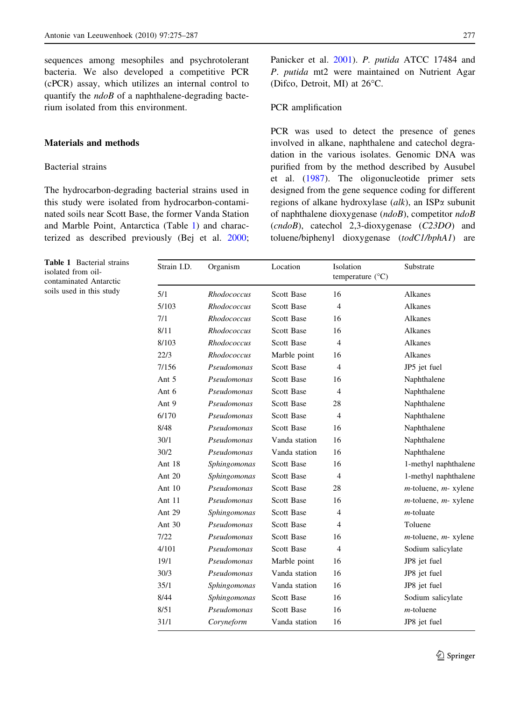<span id="page-2-0"></span>sequences among mesophiles and psychrotolerant bacteria. We also developed a competitive PCR (cPCR) assay, which utilizes an internal control to quantify the  $ndoB$  of a naphthalene-degrading bacterium isolated from this environment.

# Materials and methods

# Bacterial strains

The hydrocarbon-degrading bacterial strains used in this study were isolated from hydrocarbon-contaminated soils near Scott Base, the former Vanda Station and Marble Point, Antarctica (Table 1) and characterized as described previously (Bej et al. [2000](#page-10-0);

Panicker et al. [2001\)](#page-11-0). P. putida ATCC 17484 and P. putida mt2 were maintained on Nutrient Agar (Difco, Detroit, MI) at  $26^{\circ}$ C.

## PCR amplification

PCR was used to detect the presence of genes involved in alkane, naphthalene and catechol degradation in the various isolates. Genomic DNA was purified from by the method described by Ausubel et al. ([1987\)](#page-10-0). The oligonucleotide primer sets designed from the gene sequence coding for different regions of alkane hydroxylase (alk), an ISP $\alpha$  subunit of naphthalene dioxygenase (ndoB), competitor ndoB (cndoB), catechol 2,3-dioxygenase (C23DO) and toluene/biphenyl dioxygenase (todC1/bphA1) are

| Strain I.D. | Organism           | Location          | Isolation<br>temperature $(^{\circ}C)$ | Substrate                  |
|-------------|--------------------|-------------------|----------------------------------------|----------------------------|
| 5/1         | Rhodococcus        | <b>Scott Base</b> | 16                                     | Alkanes                    |
| 5/103       | Rhodococcus        | <b>Scott Base</b> | 4                                      | Alkanes                    |
| 7/1         | <b>Rhodococcus</b> | <b>Scott Base</b> | 16                                     | Alkanes                    |
| 8/11        | <b>Rhodococcus</b> | <b>Scott Base</b> | 16                                     | Alkanes                    |
| 8/103       | Rhodococcus        | <b>Scott Base</b> | 4                                      | Alkanes                    |
| 22/3        | Rhodococcus        | Marble point      | 16                                     | Alkanes                    |
| 7/156       | Pseudomonas        | Scott Base        | 4                                      | JP5 jet fuel               |
| Ant 5       | Pseudomonas        | <b>Scott Base</b> | 16                                     | Naphthalene                |
| Ant 6       | Pseudomonas        | <b>Scott Base</b> | 4                                      | Naphthalene                |
| Ant 9       | Pseudomonas        | <b>Scott Base</b> | 28                                     | Naphthalene                |
| 6/170       | Pseudomonas        | <b>Scott Base</b> | $\overline{4}$                         | Naphthalene                |
| 8/48        | Pseudomonas        | <b>Scott Base</b> | 16                                     | Naphthalene                |
| 30/1        | Pseudomonas        | Vanda station     | 16                                     | Naphthalene                |
| 30/2        | Pseudomonas        | Vanda station     | 16                                     | Naphthalene                |
| Ant 18      | Sphingomonas       | <b>Scott Base</b> | 16                                     | 1-methyl naphthalene       |
| Ant 20      | Sphingomonas       | Scott Base        | 4                                      | 1-methyl naphthalene       |
| Ant $10$    | Pseudomonas        | <b>Scott Base</b> | 28                                     | $m$ -toluene, $m$ - xylene |
| Ant 11      | Pseudomonas        | <b>Scott Base</b> | 16                                     | $m$ -toluene, $m$ - xylene |
| Ant 29      | Sphingomonas       | <b>Scott Base</b> | 4                                      | $m$ -toluate               |
| Ant 30      | Pseudomonas        | Scott Base        | 4                                      | Toluene                    |
| 7/22        | Pseudomonas        | <b>Scott Base</b> | 16                                     | $m$ -toluene, $m$ - xylene |
| 4/101       | Pseudomonas        | <b>Scott Base</b> | 4                                      | Sodium salicylate          |
| 19/1        | Pseudomonas        | Marble point      | 16                                     | JP8 jet fuel               |
| 30/3        | Pseudomonas        | Vanda station     | 16                                     | JP8 jet fuel               |
| 35/1        | Sphingomonas       | Vanda station     | 16                                     | JP8 jet fuel               |
| 8/44        | Sphingomonas       | <b>Scott Base</b> | 16                                     | Sodium salicylate          |
| 8/51        | Pseudomonas        | Scott Base        | 16                                     | $m$ -toluene               |
| 31/1        | Coryneform         | Vanda station     | 16                                     | JP8 jet fuel               |

Table 1 Bacterial strains isolated from oilcontaminated Antarctic soils used in this study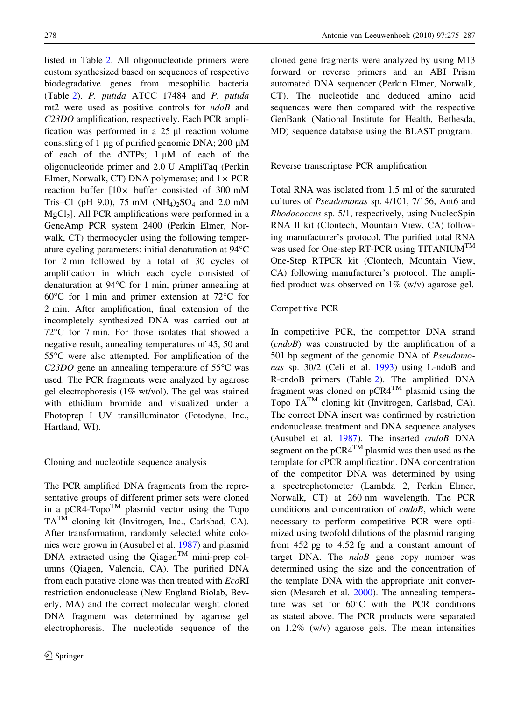listed in Table [2.](#page-4-0) All oligonucleotide primers were custom synthesized based on sequences of respective biodegradative genes from mesophilic bacteria (Table [2](#page-4-0)). P. putida ATCC 17484 and P. putida mt2 were used as positive controls for ndoB and C23DO amplification, respectively. Each PCR amplification was performed in a  $25 \mu l$  reaction volume consisting of 1  $\mu$ g of purified genomic DNA; 200  $\mu$ M of each of the dNTPs;  $1 \mu M$  of each of the oligonucleotide primer and 2.0 U AmpliTaq (Perkin Elmer, Norwalk, CT) DNA polymerase; and  $1 \times PCR$ reaction buffer  $[10 \times$  buffer consisted of 300 mM Tris–Cl (pH 9.0), 75 mM  $(NH_4)_2SO_4$  and 2.0 mM  $MgCl<sub>2</sub>$ ]. All PCR amplifications were performed in a GeneAmp PCR system 2400 (Perkin Elmer, Norwalk, CT) thermocycler using the following temperature cycling parameters: initial denaturation at 94°C for 2 min followed by a total of 30 cycles of amplification in which each cycle consisted of denaturation at 94°C for 1 min, primer annealing at  $60^{\circ}$ C for 1 min and primer extension at 72 $^{\circ}$ C for 2 min. After amplification, final extension of the incompletely synthesized DNA was carried out at  $72^{\circ}$ C for 7 min. For those isolates that showed a negative result, annealing temperatures of 45, 50 and 55 °C were also attempted. For amplification of the C23DO gene an annealing temperature of  $55^{\circ}$ C was used. The PCR fragments were analyzed by agarose gel electrophoresis (1% wt/vol). The gel was stained with ethidium bromide and visualized under a Photoprep I UV transilluminator (Fotodyne, Inc., Hartland, WI).

# Cloning and nucleotide sequence analysis

The PCR amplified DNA fragments from the representative groups of different primer sets were cloned in a pCR4-Topo<sup>TM</sup> plasmid vector using the Topo  $TA^{T\hat{M}}$  cloning kit (Invitrogen, Inc., Carlsbad, CA). After transformation, randomly selected white colonies were grown in (Ausubel et al. [1987](#page-10-0)) and plasmid DNA extracted using the Qiagen<sup>TM</sup> mini-prep columns (Qiagen, Valencia, CA). The purified DNA from each putative clone was then treated with EcoRI restriction endonuclease (New England Biolab, Beverly, MA) and the correct molecular weight cloned DNA fragment was determined by agarose gel electrophoresis. The nucleotide sequence of the cloned gene fragments were analyzed by using M13 forward or reverse primers and an ABI Prism automated DNA sequencer (Perkin Elmer, Norwalk, CT). The nucleotide and deduced amino acid sequences were then compared with the respective GenBank (National Institute for Health, Bethesda, MD) sequence database using the BLAST program.

# Reverse transcriptase PCR amplification

Total RNA was isolated from 1.5 ml of the saturated cultures of Pseudomonas sp. 4/101, 7/156, Ant6 and Rhodococcus sp. 5/1, respectively, using NucleoSpin RNA II kit (Clontech, Mountain View, CA) following manufacturer's protocol. The purified total RNA was used for One-step RT-PCR using TITANIUM<sup>TM</sup> One-Step RTPCR kit (Clontech, Mountain View, CA) following manufacturer's protocol. The amplified product was observed on  $1\%$  (w/v) agarose gel.

# Competitive PCR

In competitive PCR, the competitor DNA strand (cndoB) was constructed by the amplification of a 501 bp segment of the genomic DNA of Pseudomonas sp. 30/2 (Celi et al. [1993\)](#page-10-0) using L-ndoB and R-cndoB primers (Table [2](#page-4-0)). The amplified DNA fragment was cloned on pCR4TM plasmid using the Topo  $TA^{TM}$  cloning kit (Invitrogen, Carlsbad, CA). The correct DNA insert was confirmed by restriction endonuclease treatment and DNA sequence analyses (Ausubel et al. [1987](#page-10-0)). The inserted cndoB DNA segment on the  $pCR4<sup>TM</sup>$  plasmid was then used as the template for cPCR amplification. DNA concentration of the competitor DNA was determined by using a spectrophotometer (Lambda 2, Perkin Elmer, Norwalk, CT) at 260 nm wavelength. The PCR conditions and concentration of cndoB, which were necessary to perform competitive PCR were optimized using twofold dilutions of the plasmid ranging from 452 pg to 4.52 fg and a constant amount of target DNA. The  $ndoB$  gene copy number was determined using the size and the concentration of the template DNA with the appropriate unit conversion (Mesarch et al. [2000](#page-11-0)). The annealing temperature was set for  $60^{\circ}$ C with the PCR conditions as stated above. The PCR products were separated on 1.2% (w/v) agarose gels. The mean intensities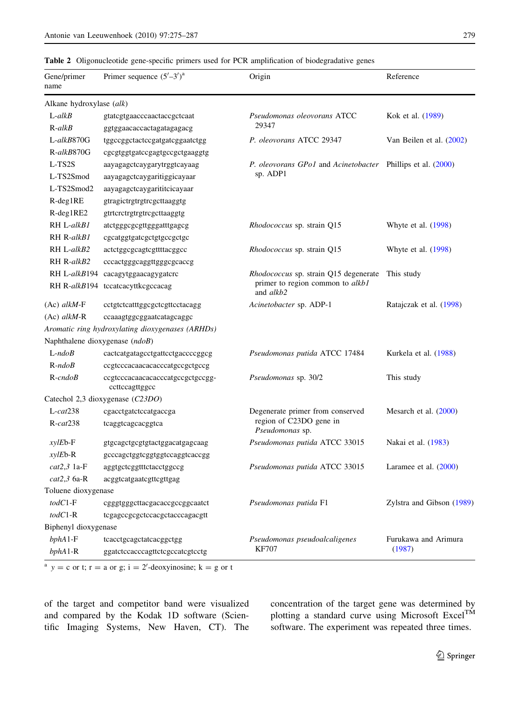### <span id="page-4-0"></span>Table 2 Oligonucleotide gene-specific primers used for PCR amplification of biodegradative genes

| Gene/primer<br>name            | Primer sequence $(5'-3')^a$                        | Origin                                        | Reference                 |
|--------------------------------|----------------------------------------------------|-----------------------------------------------|---------------------------|
| Alkane hydroxylase (alk)       |                                                    |                                               |                           |
| $L$ -alk $B$                   | gtatcgtgaacccaactaccgctcaat                        | Pseudomonas oleovorans ATCC                   | Kok et al. (1989)         |
| $R$ -alkB                      | ggtggaacaccactagatagagacg                          | 29347                                         |                           |
| L-alkB870G                     | tggccggctactccgatgatcggaatctgg                     | P. oleovorans ATCC 29347                      | Van Beilen et al. (2002)  |
| R-alkB870G                     | cgcgtggtgatccgagtgccgctgaaggtg                     |                                               |                           |
| L-TS2S                         | aayagagctcaygarytrggtcayaag                        | P. oleovorans GPo1 and Acinetobacter          | Phillips et al. (2000)    |
| L-TS2Smod                      | aayagagctcaygaritiggicayaar                        | sp. ADP1                                      |                           |
| L-TS2Smod2                     | aayagagctcaygarititcicayaar                        |                                               |                           |
| $R$ -deg1RE                    | gtragictrgtrgtrcgcttaaggtg                         |                                               |                           |
| $R$ -deg1RE2                   | gtrtcrctrgtrgtrcgcttaaggtg                         |                                               |                           |
| RH L-alkB1                     | atctgggcgcgttgggatttgagcg                          | <i>Rhodococcus</i> sp. strain Q15             | Whyte et al. $(1998)$     |
| RH R-alkB1                     | cgcatggtgatcgctgtgccgctgc                          |                                               |                           |
| RH L-alkB2                     | actctggcgcagtcgttttacggcc                          | Rhodococcus sp. strain Q15                    | Whyte et al. $(1998)$     |
| RH R-alkB2                     | cccactgggcaggttgggcgcaccg                          |                                               |                           |
|                                | RH L-alkB194 cacagytggaacagygatere                 | <i>Rhodococcus</i> sp. strain Q15 degenerate  | This study                |
|                                | RH R-alkB194 tccatcacyttkcgccacag                  | primer to region common to alkb1<br>and alkb2 |                           |
| $(Ac)$ alkM-F                  | cctgtctcatttggcgctcgttcctacagg                     | Acinetobacter sp. ADP-1                       | Ratajczak et al. (1998)   |
| $(Ac)$ alkM-R                  | ccaaagtggcggaatcatagcaggc                          |                                               |                           |
|                                | Aromatic ring hydroxylating dioxygenases (ARHDs)   |                                               |                           |
| Naphthalene dioxygenase (ndoB) |                                                    |                                               |                           |
| $L$ -ndo $B$                   | cactcatgatagcctgattcctgaccccggcg                   | Pseudomonas putida ATCC 17484                 | Kurkela et al. (1988)     |
| $R$ -ndo $B$                   | ccgtcccacaacacacccatgccgctgccg                     |                                               |                           |
| $R$ -cndo $B$                  | ccgtcccacaacacacccatgccgctgccgg-<br>ccttccagttggcc | Pseudomonas sp. 30/2                          | This study                |
|                                | Catechol 2,3 dioxygenase (C23DO)                   |                                               |                           |
| $L-cat238$                     | cgacctgatctccatgaccga                              | Degenerate primer from conserved              | Mesarch et al. $(2000)$   |
| $R$ -cat $238$                 | tcaggtcagcacggtca                                  | region of C23DO gene in<br>Pseudomonas sp.    |                           |
| $xylEb-F$                      | gtgcagctgcgtgtactggacatgagcaag                     | Pseudomonas putida ATCC 33015                 | Nakai et al. (1983)       |
| $x$ ylEb-R                     | gcccagctggtcggtggtccaggtcaccgg                     |                                               |                           |
| $cat2,3$ 1a-F                  | aggtgctcggtttctacctggccg                           | Pseudomonas putida ATCC 33015                 | Laramee et al. $(2000)$   |
| $cat2,3$ 6a-R                  | acggtcatgaatcgttcgttgag                            |                                               |                           |
| Toluene dioxygenase            |                                                    |                                               |                           |
| $todC1-F$                      | cgggtgggcttacgacaccgccggcaatct                     | <i>Pseudomonas putida</i> F1                  | Zylstra and Gibson (1989) |
| $todC1-R$                      | tcgagccgcgctccacgctacccagacgtt                     |                                               |                           |
| Biphenyl dioxygenase           |                                                    |                                               |                           |
| $bphA1-F$                      | tcacctgcagctatcacggctgg                            | Pseudomonas pseudoalcaligenes                 | Furukawa and Arimura      |
| $bphA1-R$                      | ggatetecacccagttetegecategteetg                    | <b>KF707</b>                                  | (1987)                    |

<sup>a</sup>  $y = c$  or t; r = a or g; i = 2'-deoxyinosine; k = g or t

of the target and competitor band were visualized and compared by the Kodak 1D software (Scientific Imaging Systems, New Haven, CT). The concentration of the target gene was determined by plotting a standard curve using Microsoft Excel<sup>TM</sup> software. The experiment was repeated three times.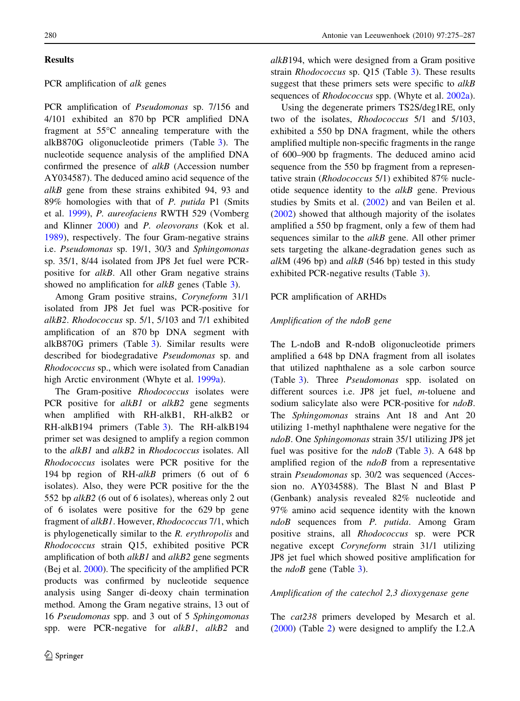# Results

## PCR amplification of alk genes

PCR amplification of Pseudomonas sp. 7/156 and 4/101 exhibited an 870 bp PCR amplified DNA fragment at  $55^{\circ}$ C annealing temperature with the alkB870G oligonucleotide primers (Table [3](#page-6-0)). The nucleotide sequence analysis of the amplified DNA confirmed the presence of alkB (Accession number AY034587). The deduced amino acid sequence of the alkB gene from these strains exhibited 94, 93 and 89% homologies with that of P. putida P1 (Smits et al. [1999](#page-11-0)), P. aureofaciens RWTH 529 (Vomberg and Klinner [2000](#page-12-0)) and P. oleovorans (Kok et al. [1989\)](#page-11-0), respectively. The four Gram-negative strains i.e. Pseudomonas sp. 19/1, 30/3 and Sphingomonas sp. 35/1, 8/44 isolated from JP8 Jet fuel were PCRpositive for alkB. All other Gram negative strains showed no amplification for *alkB* genes (Table [3](#page-6-0)).

Among Gram positive strains, Coryneform 31/1 isolated from JP8 Jet fuel was PCR-positive for alkB2. Rhodococcus sp. 5/1, 5/103 and 7/1 exhibited amplification of an 870 bp DNA segment with alkB870G primers (Table [3](#page-6-0)). Similar results were described for biodegradative Pseudomonas sp. and Rhodococcus sp., which were isolated from Canadian high Arctic environment (Whyte et al. [1999a\)](#page-12-0).

The Gram-positive Rhodococcus isolates were PCR positive for *alkB1* or *alkB2* gene segments when amplified with RH-alkB1, RH-alkB2 or RH-alkB194 primers (Table [3](#page-6-0)). The RH-alkB194 primer set was designed to amplify a region common to the alkB1 and alkB2 in Rhodococcus isolates. All Rhodococcus isolates were PCR positive for the 194 bp region of RH-alkB primers (6 out of 6 isolates). Also, they were PCR positive for the the 552 bp alkB2 (6 out of 6 isolates), whereas only 2 out of 6 isolates were positive for the 629 bp gene fragment of alkB1. However, Rhodococcus 7/1, which is phylogenetically similar to the R. erythropolis and Rhodococcus strain Q15, exhibited positive PCR amplification of both  $alkB1$  and  $alkB2$  gene segments (Bej et al. [2000](#page-10-0)). The specificity of the amplified PCR products was confirmed by nucleotide sequence analysis using Sanger di-deoxy chain termination method. Among the Gram negative strains, 13 out of 16 Pseudomonas spp. and 3 out of 5 Sphingomonas spp. were PCR-negative for *alkB1*, *alkB2* and

alkB194, which were designed from a Gram positive strain Rhodococcus sp. Q15 (Table [3](#page-6-0)). These results suggest that these primers sets were specific to alkB sequences of *Rhodococcus* spp. (Whyte et al. [2002a](#page-12-0)).

Using the degenerate primers TS2S/deg1RE, only two of the isolates, Rhodococcus 5/1 and 5/103, exhibited a 550 bp DNA fragment, while the others amplified multiple non-specific fragments in the range of 600–900 bp fragments. The deduced amino acid sequence from the 550 bp fragment from a representative strain (Rhodococcus 5/1) exhibited 87% nucleotide sequence identity to the  $alkB$  gene. Previous studies by Smits et al. [\(2002](#page-12-0)) and van Beilen et al. [\(2002](#page-12-0)) showed that although majority of the isolates amplified a 550 bp fragment, only a few of them had sequences similar to the *alkB* gene. All other primer sets targeting the alkane-degradation genes such as alkM (496 bp) and alkB (546 bp) tested in this study exhibited PCR-negative results (Table [3](#page-6-0)).

## PCR amplification of ARHDs

## Amplification of the ndoB gene

The L-ndoB and R-ndoB oligonucleotide primers amplified a 648 bp DNA fragment from all isolates that utilized naphthalene as a sole carbon source (Table [3](#page-6-0)). Three Pseudomonas spp. isolated on different sources i.e. JP8 jet fuel, m-toluene and sodium salicylate also were PCR-positive for *ndoB*. The Sphingomonas strains Ant 18 and Ant 20 utilizing 1-methyl naphthalene were negative for the ndoB. One Sphingomonas strain 35/1 utilizing JP8 jet fuel was positive for the  $ndoB$  (Table [3](#page-6-0)). A 648 bp amplified region of the  $ndoB$  from a representative strain Pseudomonas sp. 30/2 was sequenced (Accession no. AY034588). The Blast N and Blast P (Genbank) analysis revealed 82% nucleotide and 97% amino acid sequence identity with the known ndoB sequences from P. putida. Among Gram positive strains, all Rhodococcus sp. were PCR negative except Coryneform strain 31/1 utilizing JP8 jet fuel which showed positive amplification for the  $ndoB$  gene (Table [3\)](#page-6-0).

## Amplification of the catechol 2,3 dioxygenase gene

The *cat*238 primers developed by Mesarch et al. [\(2000](#page-11-0)) (Table [2](#page-4-0)) were designed to amplify the I.2.A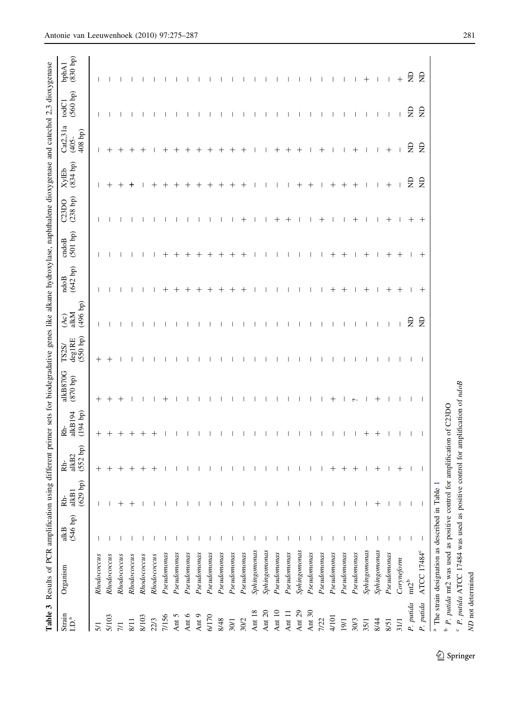<span id="page-6-0"></span>

|                                                                   | Table 3 Results of PCR amplification using                                  |                  |                            |                            |                           | different primer sets for biodegradative genes like alkane hydroxylase, naphthalene dioxygenase and catechol 2,3 dioxygenase |                             |                         |                    |                          |                          |                          |                                 |                          |                          |
|-------------------------------------------------------------------|-----------------------------------------------------------------------------|------------------|----------------------------|----------------------------|---------------------------|------------------------------------------------------------------------------------------------------------------------------|-----------------------------|-------------------------|--------------------|--------------------------|--------------------------|--------------------------|---------------------------------|--------------------------|--------------------------|
| $\mathop{\rm Strain}\limits_{\mathbf{L}\mathbf{D}^{.\mathbf{a}}}$ | Organism                                                                    | (546 bp)<br>alkB | $(629$ bp)<br>alkB1<br>Rh- | $(552$ bp)<br>alkB2<br>Rb- | alkB194<br>(194 b)<br>Rh- | alkB870G<br>(qd 078)                                                                                                         | deg1RE<br>(550 bp)<br>TS2S/ | (496 b)<br>alkM<br>(Ac) | $(642$ bp)<br>ndoB | $(501$ $bp)$<br>cndoB    | $(238$ bp)<br>C23DO      | (834 bp)<br><b>XylEb</b> | Cat2,31a<br>408 bp)<br>$(405 -$ | (560 bp)<br>todC1        | $(830$ bp)<br>bphA1      |
| 5/1                                                               | Rhodococcus                                                                 |                  | J.                         | $\hspace{0.1mm} +$         | $^+$                      | $^+$                                                                                                                         | $\hspace{0.1mm} +$          | $\mathbf{I}$            |                    |                          |                          |                          | J.                              |                          |                          |
| 5/103                                                             | Rhodococcus                                                                 |                  |                            | $\pm$                      | $^+$                      | $^{\mathrm{+}}$                                                                                                              | $\hspace{0.1mm} +$          |                         |                    |                          |                          |                          | $^+$                            |                          |                          |
| $\frac{1}{2}$                                                     | Rhodococcus                                                                 |                  |                            | $^{+}$                     | $\,{}^+$                  | $\,{}^+$                                                                                                                     |                             |                         |                    |                          |                          |                          | $\,{}^+$                        |                          |                          |
| 8/11                                                              | Rhodococcus                                                                 |                  |                            | $\pm$                      | $\,^+$                    |                                                                                                                              |                             |                         |                    |                          |                          |                          |                                 |                          |                          |
| 8/103                                                             | Rhodococcus                                                                 |                  |                            | $\,{}^+$                   | $\hspace{0.1mm} +$        |                                                                                                                              |                             |                         |                    |                          |                          |                          | $\hspace{0.1mm} +$              |                          |                          |
| 22/3                                                              | Rhodococcus                                                                 |                  |                            |                            | $^+$                      |                                                                                                                              |                             |                         |                    |                          |                          |                          |                                 |                          |                          |
| 7/156                                                             | Pseudomonas                                                                 |                  |                            |                            |                           | $^+$                                                                                                                         |                             |                         | $\pm$              | $\pm$                    |                          |                          |                                 |                          |                          |
| Ant 5                                                             | Pseudomonas                                                                 |                  |                            |                            |                           |                                                                                                                              |                             |                         | $\pm$              | $\pm$                    |                          |                          |                                 |                          |                          |
| Ant 6                                                             | Pseudomonas                                                                 |                  |                            |                            |                           |                                                                                                                              |                             |                         | $^{+}$             | $^{+}$                   |                          |                          |                                 |                          |                          |
| Ant 9                                                             | Pseudomonas                                                                 |                  |                            |                            |                           |                                                                                                                              | $\mathbf{I}$                |                         | $\pm$              | $^{+}$                   |                          |                          |                                 |                          |                          |
| 6/170                                                             | Pseudomonas                                                                 |                  |                            |                            |                           |                                                                                                                              | -1                          |                         | $^{+}$             | $^{+}$                   |                          |                          |                                 | $\mathbf{I}$             | $\mathbf{I}$             |
| 8/48                                                              | Pseudomonas                                                                 |                  |                            |                            |                           |                                                                                                                              |                             |                         | $^{+}$             | $^{+}$                   |                          |                          |                                 | $\overline{\phantom{a}}$ | $\overline{\phantom{a}}$ |
| 30/1                                                              | Pseudomonas                                                                 |                  |                            |                            | $\perp$                   |                                                                                                                              | л.                          | $\mathbf{I}$            | $+$                | $+$                      |                          | $^{+}$                   | $^{+}$                          | $\mathbf{I}$             | $\overline{1}$           |
| 30/2                                                              | Pseudomonas                                                                 |                  |                            |                            |                           |                                                                                                                              | H                           |                         | $+$                | $+$                      | $^{+}$                   | $^{+}$                   | $^{+}$                          |                          |                          |
| Ant 18                                                            | Sphing on on a s                                                            |                  |                            | -1                         |                           |                                                                                                                              | $\perp$                     | $\mathbf{I}$            | -1                 | $\perp$                  | $\overline{\phantom{0}}$ | -1                       | $\perp$                         |                          |                          |
| Ant 20                                                            | Sphingomonas                                                                |                  |                            |                            |                           |                                                                                                                              | $\mathbf{I}$                |                         |                    |                          | $\mathbf{I}$             |                          |                                 |                          |                          |
| Ant 10                                                            | Pseudomonas                                                                 |                  |                            | -1                         |                           |                                                                                                                              | -1                          | $\mathbf{I}$            | $\mathbf{I}$       | $\mathbf{I}$             | $^+$                     | -1                       | $^+$                            |                          |                          |
| Ant 11                                                            | Pseudomonas                                                                 |                  |                            |                            |                           |                                                                                                                              | $\mathbf{I}$                |                         |                    |                          | $^{+}$                   |                          | $^{+}$                          |                          |                          |
| Ant 29                                                            | Sphingomonas                                                                |                  |                            |                            |                           |                                                                                                                              | -1                          |                         | Ш.                 | $\mathbf{I}$             | - 1                      | $^+$                     | $^{+}$                          |                          |                          |
| Ant 30                                                            | Pseudomonas                                                                 |                  |                            | J.                         |                           |                                                                                                                              |                             |                         |                    |                          | J.                       |                          |                                 |                          |                          |
| 7/22                                                              | Pseudomonas                                                                 |                  |                            |                            |                           |                                                                                                                              |                             |                         |                    |                          | $\pm$                    |                          | $\pm$                           |                          |                          |
| 4/101                                                             | Pseudomonas                                                                 |                  |                            | $^{+}$                     |                           | $^{+}$                                                                                                                       |                             |                         | $^{+}$             | $^{+}$                   |                          |                          |                                 |                          |                          |
| 19/1                                                              | Pseudomonas                                                                 |                  |                            | $^{+}$                     |                           | $\perp$                                                                                                                      |                             |                         | $^{+}$             | $^{+}$                   |                          | $^{+}$                   |                                 |                          |                          |
| 30/3                                                              | Pseudomonas                                                                 |                  |                            | $^{+}$                     |                           | $\sim$                                                                                                                       |                             |                         |                    |                          | $\,^+$                   | $^{+}$                   | $^{+}$                          |                          |                          |
| 35/1                                                              | Sphingomonas                                                                |                  |                            |                            | $\hspace{0.1mm} +$        | -1                                                                                                                           |                             | -1                      | $^{+}$             | $^{+}$                   | -1                       | $\mathbf{I}$             | -1                              | $\mathbf{I}$             | $\hspace{0.1mm} +$       |
| 8/44                                                              | Sphingomonas                                                                |                  |                            | $^{+}$                     | $^{+}$                    | $\pm$                                                                                                                        |                             |                         | $\perp$            |                          |                          | $\mathbf{I}$             | $\overline{\phantom{a}}$        |                          |                          |
| 8/51                                                              | Pseudomonas                                                                 |                  |                            |                            |                           |                                                                                                                              |                             |                         | $^{+}$             | $^{+}$                   | $\pm$                    | $^{+}$                   | $^{+}$                          | $\overline{\phantom{a}}$ |                          |
| 31/1                                                              | Coryneform                                                                  |                  |                            | $^{+}$                     | J.                        |                                                                                                                              |                             |                         | $^{+}$             | $^{+}$                   | -1                       | $\overline{\phantom{a}}$ | $\overline{\phantom{a}}$        |                          | $^{+}$                   |
| P. putida                                                         | $m2^{b}$                                                                    |                  |                            |                            | $\mathbf{I}$              | $\mathbf{I}$                                                                                                                 | $\mathbf{I}$                | $\Xi$                   | $\mathbf{I}$       | $\overline{\phantom{a}}$ | $^{+}$                   | g                        | Ê                               | $\Xi$                    | $\Xi$                    |
| P. putida                                                         | ATCC 17484°                                                                 |                  |                            |                            | $\perp$                   | $\overline{1}$                                                                                                               | $\mathbf{I}$                | $\Xi$                   | $^{+}$             | $^{+}$                   | $^{+}$                   | $\epsilon$               | g                               | £                        | $\Xi$                    |
|                                                                   | $^{\rm a}$ The strain designation as described in Table 1                   |                  |                            |                            |                           |                                                                                                                              |                             |                         |                    |                          |                          |                          |                                 |                          |                          |
|                                                                   | <b>b</b> P. putida mt2 was used as positive control for                     |                  |                            | amplification of C23DO     |                           |                                                                                                                              |                             |                         |                    |                          |                          |                          |                                 |                          |                          |
|                                                                   | P. putida ATCC 17484 was used as positive control for amplification of ndoB |                  |                            |                            |                           |                                                                                                                              |                             |                         |                    |                          |                          |                          |                                 |                          |                          |

 $\underline{\textcircled{\tiny 2}}$  Springer

ND not determined

ND not determined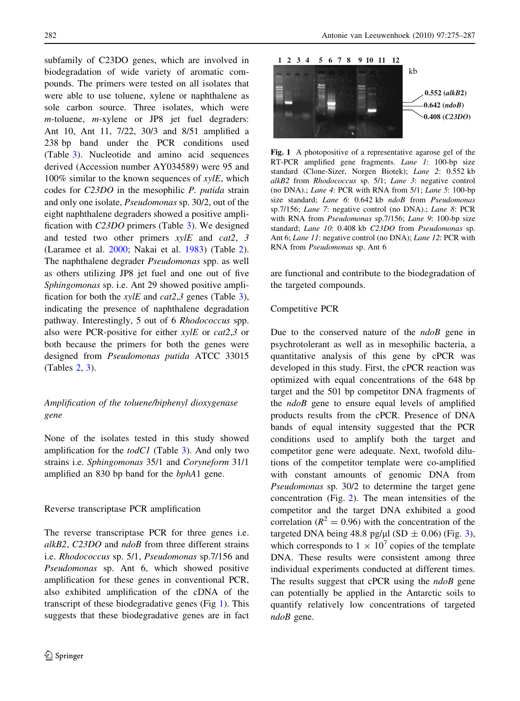<span id="page-7-0"></span>subfamily of C23DO genes, which are involved in biodegradation of wide variety of aromatic compounds. The primers were tested on all isolates that were able to use toluene, xylene or naphthalene as sole carbon source. Three isolates, which were m-toluene, *m*-xylene or JP8 jet fuel degraders: Ant 10, Ant 11, 7/22, 30/3 and 8/51 amplified a 238 bp band under the PCR conditions used (Table [3](#page-6-0)). Nucleotide and amino acid sequences derived (Accession number AY034589) were 95 and  $100\%$  similar to the known sequences of  $xy/E$ , which codes for C23DO in the mesophilic P. putida strain and only one isolate, Pseudomonas sp. 30/2, out of the eight naphthalene degraders showed a positive amplification with C23DO primers (Table [3](#page-6-0)). We designed and tested two other primers  $xy/E$  and cat2, 3 (Laramee et al. [2000](#page-11-0); Nakai et al. [1983\)](#page-11-0) (Table [2](#page-4-0)). The naphthalene degrader Pseudomonas spp. as well as others utilizing JP8 jet fuel and one out of five Sphingomonas sp. i.e. Ant 29 showed positive amplification for both the  $xy/E$  and  $cat2,3$  $cat2,3$  genes (Table 3), indicating the presence of naphthalene degradation pathway. Interestingly, 5 out of 6 Rhodococcus spp. also were PCR-positive for either  $xy/E$  or  $cat2,3$  or both because the primers for both the genes were designed from Pseudomonas putida ATCC 33015 (Tables [2](#page-4-0), [3\)](#page-6-0).

# Amplification of the toluene/biphenyl dioxygenase gene

None of the isolates tested in this study showed amplification for the  $todC1$  (Table [3](#page-6-0)). And only two strains i.e. Sphingomonas 35/1 and Coryneform 31/1 amplified an 830 bp band for the bphA1 gene.

#### Reverse transcriptase PCR amplification

The reverse transcriptase PCR for three genes i.e. alkB2, C23DO and ndoB from three different strains i.e. Rhodococcus sp. 5/1, Pseudomonas sp.7/156 and Pseudomonas sp. Ant 6, which showed positive amplification for these genes in conventional PCR, also exhibited amplification of the cDNA of the transcript of these biodegradative genes (Fig 1). This suggests that these biodegradative genes are in fact



Fig. 1 A photopositive of a representative agarose gel of the RT-PCR amplified gene fragments. Lane 1: 100-bp size standard (Clone-Sizer, Norgen Biotek); Lane 2: 0.552 kb alkB2 from Rhodococcus sp. 5/1; Lane 3: negative control (no DNA).; Lane 4: PCR with RNA from 5/1; Lane 5: 100-bp size standard; Lane 6: 0.642 kb ndoB from Pseudomonas sp.7/156; Lane 7: negative control (no DNA).; Lane 8: PCR with RNA from *Pseudomonas* sp.7/156; Lane 9: 100-bp size standard; Lane 10: 0.408 kb C23DO from Pseudomonas sp. Ant 6; Lane 11: negative control (no DNA); Lane 12: PCR with RNA from Pseudomonas sp. Ant 6

are functional and contribute to the biodegradation of the targeted compounds.

### Competitive PCR

Due to the conserved nature of the  $ndoB$  gene in psychrotolerant as well as in mesophilic bacteria, a quantitative analysis of this gene by cPCR was developed in this study. First, the cPCR reaction was optimized with equal concentrations of the 648 bp target and the 501 bp competitor DNA fragments of the *ndoB* gene to ensure equal levels of amplified products results from the cPCR. Presence of DNA bands of equal intensity suggested that the PCR conditions used to amplify both the target and competitor gene were adequate. Next, twofold dilutions of the competitor template were co-amplified with constant amounts of genomic DNA from Pseudomonas sp. 30/2 to determine the target gene concentration (Fig. [2\)](#page-8-0). The mean intensities of the competitor and the target DNA exhibited a good correlation ( $R^2 = 0.96$ ) with the concentration of the targeted DNA being 48.8 pg/ $\mu$ l (SD  $\pm$  0.06) (Fig. [3](#page-8-0)), which corresponds to  $1 \times 10^7$  copies of the template DNA. These results were consistent among three individual experiments conducted at different times. The results suggest that cPCR using the  $ndoB$  gene can potentially be applied in the Antarctic soils to quantify relatively low concentrations of targeted  $ndoB$  gene.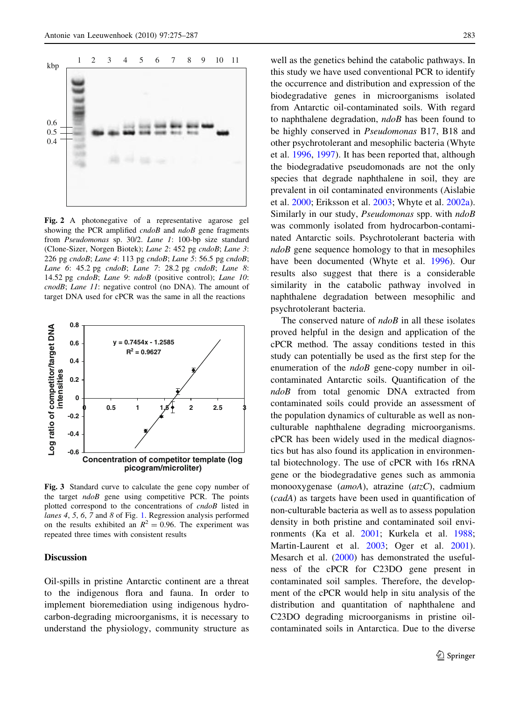<span id="page-8-0"></span>

Fig. 2 A photonegative of a representative agarose gel showing the PCR amplified *cndoB* and *ndoB* gene fragments from Pseudomonas sp. 30/2. Lane 1: 100-bp size standard (Clone-Sizer, Norgen Biotek); Lane 2: 452 pg cndoB; Lane 3: 226 pg cndoB; Lane 4: 113 pg cndoB; Lane 5: 56.5 pg cndoB; Lane 6: 45.2 pg cndoB; Lane 7: 28.2 pg cndoB; Lane 8: 14.52 pg cndoB; Lane 9: ndoB (positive control); Lane 10: cnodB; Lane 11: negative control (no DNA). The amount of target DNA used for cPCR was the same in all the reactions



Fig. 3 Standard curve to calculate the gene copy number of the target  $n \cdot d \cdot \partial B$  gene using competitive PCR. The points plotted correspond to the concentrations of cndoB listed in lanes 4, 5, 6, 7 and 8 of Fig. [1](#page-7-0). Regression analysis performed on the results exhibited an  $R^2 = 0.96$ . The experiment was repeated three times with consistent results

### **Discussion**

Oil-spills in pristine Antarctic continent are a threat to the indigenous flora and fauna. In order to implement bioremediation using indigenous hydrocarbon-degrading microorganisms, it is necessary to understand the physiology, community structure as well as the genetics behind the catabolic pathways. In this study we have used conventional PCR to identify the occurrence and distribution and expression of the biodegradative genes in microorganisms isolated from Antarctic oil-contaminated soils. With regard to naphthalene degradation, ndoB has been found to be highly conserved in Pseudomonas B17, B18 and other psychrotolerant and mesophilic bacteria (Whyte et al. [1996,](#page-12-0) [1997\)](#page-12-0). It has been reported that, although the biodegradative pseudomonads are not the only species that degrade naphthalene in soil, they are prevalent in oil contaminated environments (Aislabie et al. [2000](#page-10-0); Eriksson et al. [2003;](#page-11-0) Whyte et al. [2002a](#page-12-0)). Similarly in our study, *Pseudomonas* spp. with  $ndoB$ was commonly isolated from hydrocarbon-contaminated Antarctic soils. Psychrotolerant bacteria with  $ndoB$  gene sequence homology to that in mesophiles have been documented (Whyte et al. [1996](#page-12-0)). Our results also suggest that there is a considerable similarity in the catabolic pathway involved in naphthalene degradation between mesophilic and psychrotolerant bacteria.

The conserved nature of  $ndoB$  in all these isolates proved helpful in the design and application of the cPCR method. The assay conditions tested in this study can potentially be used as the first step for the enumeration of the *ndoB* gene-copy number in oilcontaminated Antarctic soils. Quantification of the ndoB from total genomic DNA extracted from contaminated soils could provide an assessment of the population dynamics of culturable as well as nonculturable naphthalene degrading microorganisms. cPCR has been widely used in the medical diagnostics but has also found its application in environmental biotechnology. The use of cPCR with 16s rRNA gene or the biodegradative genes such as ammonia monooxygenase (amoA), atrazine (atzC), cadmium (cadA) as targets have been used in quantification of non-culturable bacteria as well as to assess population density in both pristine and contaminated soil environments (Ka et al. [2001;](#page-11-0) Kurkela et al. [1988](#page-11-0); Martin-Laurent et al. [2003;](#page-11-0) Oger et al. [2001](#page-11-0)). Mesarch et al. ([2000\)](#page-11-0) has demonstrated the usefulness of the cPCR for C23DO gene present in contaminated soil samples. Therefore, the development of the cPCR would help in situ analysis of the distribution and quantitation of naphthalene and C23DO degrading microorganisms in pristine oilcontaminated soils in Antarctica. Due to the diverse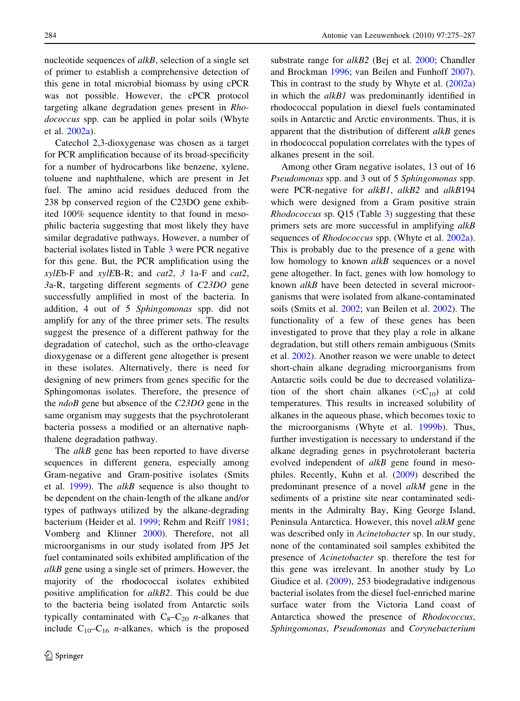nucleotide sequences of *alkB*, selection of a single set of primer to establish a comprehensive detection of this gene in total microbial biomass by using cPCR was not possible. However, the cPCR protocol targeting alkane degradation genes present in Rhodococcus spp. can be applied in polar soils (Whyte et al. [2002a\)](#page-12-0).

Catechol 2,3-dioxygenase was chosen as a target for PCR amplification because of its broad-specificity for a number of hydrocarbons like benzene, xylene, toluene and naphthalene, which are present in Jet fuel. The amino acid residues deduced from the 238 bp conserved region of the C23DO gene exhibited 100% sequence identity to that found in mesophilic bacteria suggesting that most likely they have similar degradative pathways. However, a number of bacterial isolates listed in Table [3](#page-6-0) were PCR negative for this gene. But, the PCR amplification using the  $xylEb-F$  and  $xylEB-R$ ; and  $cat2$ , 3 1a-F and  $cat2$ , 3a-R, targeting different segments of C23DO gene successfully amplified in most of the bacteria. In addition, 4 out of 5 Sphingomonas spp. did not amplify for any of the three primer sets. The results suggest the presence of a different pathway for the degradation of catechol, such as the ortho-cleavage dioxygenase or a different gene altogether is present in these isolates. Alternatively, there is need for designing of new primers from genes specific for the Sphingomonas isolates. Therefore, the presence of the *ndoB* gene but absence of the C23DO gene in the same organism may suggests that the psychrotolerant bacteria possess a modified or an alternative naphthalene degradation pathway.

The *alkB* gene has been reported to have diverse sequences in different genera, especially among Gram-negative and Gram-positive isolates (Smits et al.  $1999$ ). The *alkB* sequence is also thought to be dependent on the chain-length of the alkane and/or types of pathways utilized by the alkane-degrading bacterium (Heider et al. [1999](#page-11-0); Rehm and Reiff [1981](#page-11-0); Vomberg and Klinner [2000](#page-12-0)). Therefore, not all microorganisms in our study isolated from JP5 Jet fuel contaminated soils exhibited amplification of the alkB gene using a single set of primers. However, the majority of the rhodococcal isolates exhibited positive amplification for alkB2. This could be due to the bacteria being isolated from Antarctic soils typically contaminated with  $C_8-C_{20}$  *n*-alkanes that include  $C_{10}-C_{16}$  *n*-alkanes, which is the proposed substrate range for alkB2 (Bej et al. [2000](#page-10-0); Chandler and Brockman [1996;](#page-11-0) van Beilen and Funhoff [2007](#page-12-0)). This in contrast to the study by Whyte et al. ([2002a\)](#page-12-0) in which the alkB1 was predominantly identified in rhodococcal population in diesel fuels contaminated soils in Antarctic and Arctic environments. Thus, it is apparent that the distribution of different  $alkB$  genes in rhodococcal population correlates with the types of alkanes present in the soil.

Among other Gram negative isolates, 13 out of 16 Pseudomonas spp. and 3 out of 5 Sphingomonas spp. were PCR-negative for alkB1, alkB2 and alkB194 which were designed from a Gram positive strain Rhodococcus sp. Q15 (Table [3\)](#page-6-0) suggesting that these primers sets are more successful in amplifying alkB sequences of *Rhodococcus* spp. (Whyte et al. [2002a](#page-12-0)). This is probably due to the presence of a gene with low homology to known *alkB* sequences or a novel gene altogether. In fact, genes with low homology to known alkB have been detected in several microorganisms that were isolated from alkane-contaminated soils (Smits et al. [2002](#page-12-0); van Beilen et al. [2002\)](#page-12-0). The functionality of a few of these genes has been investigated to prove that they play a role in alkane degradation, but still others remain ambiguous (Smits et al. [2002](#page-12-0)). Another reason we were unable to detect short-chain alkane degrading microorganisms from Antarctic soils could be due to decreased volatilization of the short chain alkanes  $(*C*<sub>10</sub>)$  at cold temperatures. This results in increased solubility of alkanes in the aqueous phase, which becomes toxic to the microorganisms (Whyte et al. [1999b\)](#page-12-0). Thus, further investigation is necessary to understand if the alkane degrading genes in psychrotolerant bacteria evolved independent of alkB gene found in mesophiles. Recently, Kuhn et al. ([2009\)](#page-11-0) described the predominant presence of a novel alkM gene in the sediments of a pristine site near contaminated sediments in the Admiralty Bay, King George Island, Peninsula Antarctica. However, this novel alkM gene was described only in Acinetobacter sp. In our study, none of the contaminated soil samples exhibited the presence of Acinetobacter sp. therefore the test for this gene was irrelevant. In another study by Lo Giudice et al. ([2009\)](#page-11-0), 253 biodegradative indigenous bacterial isolates from the diesel fuel-enriched marine surface water from the Victoria Land coast of Antarctica showed the presence of Rhodococcus, Sphingomonas, Pseudomonas and Corynebacterium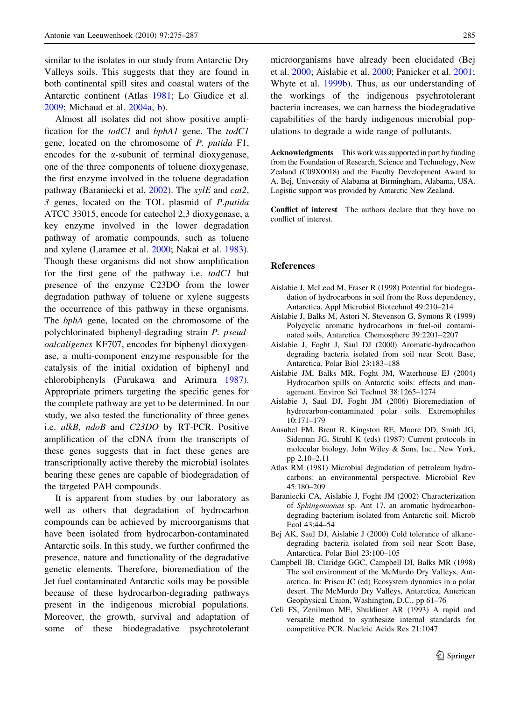<span id="page-10-0"></span>similar to the isolates in our study from Antarctic Dry Valleys soils. This suggests that they are found in both continental spill sites and coastal waters of the Antarctic continent (Atlas 1981; Lo Giudice et al. [2009;](#page-11-0) Michaud et al. [2004a,](#page-11-0) [b\)](#page-11-0).

Almost all isolates did not show positive amplification for the todC1 and bphA1 gene. The todC1 gene, located on the chromosome of P. putida F1, encodes for the  $\alpha$ -subunit of terminal dioxygenase, one of the three components of toluene dioxygenase, the first enzyme involved in the toluene degradation pathway (Baraniecki et al. 2002). The *xylE* and *cat*2, 3 genes, located on the TOL plasmid of P.putida ATCC 33015, encode for catechol 2,3 dioxygenase, a key enzyme involved in the lower degradation pathway of aromatic compounds, such as toluene and xylene (Laramee et al. [2000;](#page-11-0) Nakai et al. [1983](#page-11-0)). Though these organisms did not show amplification for the first gene of the pathway i.e. todC1 but presence of the enzyme C23DO from the lower degradation pathway of toluene or xylene suggests the occurrence of this pathway in these organisms. The bphA gene, located on the chromosome of the polychlorinated biphenyl-degrading strain P. pseudoalcaligenes KF707, encodes for biphenyl dioxygenase, a multi-component enzyme responsible for the catalysis of the initial oxidation of biphenyl and chlorobiphenyls (Furukawa and Arimura [1987](#page-11-0)). Appropriate primers targeting the specific genes for the complete pathway are yet to be determined. In our study, we also tested the functionality of three genes i.e. alkB, ndoB and C23DO by RT-PCR. Positive amplification of the cDNA from the transcripts of these genes suggests that in fact these genes are transcriptionally active thereby the microbial isolates bearing these genes are capable of biodegradation of the targeted PAH compounds.

It is apparent from studies by our laboratory as well as others that degradation of hydrocarbon compounds can be achieved by microorganisms that have been isolated from hydrocarbon-contaminated Antarctic soils. In this study, we further confirmed the presence, nature and functionality of the degradative genetic elements. Therefore, bioremediation of the Jet fuel contaminated Antarctic soils may be possible because of these hydrocarbon-degrading pathways present in the indigenous microbial populations. Moreover, the growth, survival and adaptation of some of these biodegradative psychrotolerant

microorganisms have already been elucidated (Bej et al. 2000; Aislabie et al. 2000; Panicker et al. [2001](#page-11-0); Whyte et al. [1999b\)](#page-12-0). Thus, as our understanding of the workings of the indigenous psychrotolerant bacteria increases, we can harness the biodegradative capabilities of the hardy indigenous microbial populations to degrade a wide range of pollutants.

Acknowledgments This work was supported in part by funding from the Foundation of Research, Science and Technology, New Zealand (C09X0018) and the Faculty Development Award to A. Bej, University of Alabama at Birmingham, Alabama, USA. Logistic support was provided by Antarctic New Zealand.

Conflict of interest The authors declare that they have no conflict of interest.

#### References

- Aislabie J, McLeod M, Fraser R (1998) Potential for biodegradation of hydrocarbons in soil from the Ross dependency, Antarctica. Appl Microbiol Biotechnol 49:210–214
- Aislabie J, Balks M, Astori N, Stevenson G, Symons R (1999) Polycyclic aromatic hydrocarbons in fuel-oil contaminated soils, Antarctica. Chemosphere 39:2201–2207
- Aislabie J, Foght J, Saul DJ (2000) Aromatic-hydrocarbon degrading bacteria isolated from soil near Scott Base, Antarctica. Polar Biol 23:183–188
- Aislabie JM, Balks MR, Foght JM, Waterhouse EJ (2004) Hydrocarbon spills on Antarctic soils: effects and management. Environ Sci Technol 38:1265–1274
- Aislabie J, Saul DJ, Foght JM (2006) Bioremediation of hydrocarbon-contaminated polar soils. Extremophiles 10:171–179
- Ausubel FM, Brent R, Kingston RE, Moore DD, Smith JG, Sideman JG, Struhl K (eds) (1987) Current protocols in molecular biology. John Wiley & Sons, Inc., New York, pp 2.10–2.11
- Atlas RM (1981) Microbial degradation of petroleum hydrocarbons: an environmental perspective. Microbiol Rev 45:180–209
- Baraniecki CA, Aislabie J, Foght JM (2002) Characterization of Sphingomonas sp. Ant 17, an aromatic hydrocarbondegrading bacterium isolated from Antarctic soil. Microb Ecol 43:44–54
- Bej AK, Saul DJ, Aislabie J (2000) Cold tolerance of alkanedegrading bacteria isolated from soil near Scott Base, Antarctica. Polar Biol 23:100–105
- Campbell IB, Claridge GGC, Campbell DI, Balks MR (1998) The soil environment of the McMurdo Dry Valleys, Antarctica. In: Priscu JC (ed) Ecosystem dynamics in a polar desert. The McMurdo Dry Valleys, Antarctica, American Geophysical Union, Washington, D.C., pp 61–76
- Celi FS, Zenilman ME, Shuldiner AR (1993) A rapid and versatile method to synthesize internal standards for competitive PCR. Nucleic Acids Res 21:1047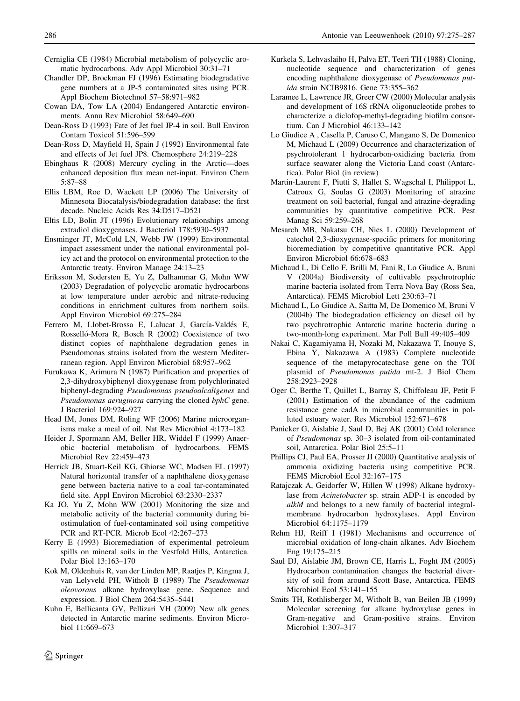- <span id="page-11-0"></span>Cerniglia CE (1984) Microbial metabolism of polycyclic aromatic hydrocarbons. Adv Appl Microbiol 30:31–71
- Chandler DP, Brockman FJ (1996) Estimating biodegradative gene numbers at a JP-5 contaminated sites using PCR. Appl Biochem Biotechnol 57–58:971–982
- Cowan DA, Tow LA (2004) Endangered Antarctic environments. Annu Rev Microbiol 58:649–690
- Dean-Ross D (1993) Fate of Jet fuel JP-4 in soil. Bull Environ Contam Toxicol 51:596–599
- Dean-Ross D, Mayfield H, Spain J (1992) Environmental fate and effects of Jet fuel JP8. Chemosphere 24:219–228
- Ebinghaus R (2008) Mercury cycling in the Arctic—does enhanced deposition flux mean net-input. Environ Chem 5:87–88
- Ellis LBM, Roe D, Wackett LP (2006) The University of Minnesota Biocatalysis/biodegradation database: the first decade. Nucleic Acids Res 34:D517–D521
- Eltis LD, Bolin JT (1996) Evolutionary relationships among extradiol dioxygenases. J Bacteriol 178:5930–5937
- Ensminger JT, McCold LN, Webb JW (1999) Environmental impact assessment under the national environmental policy act and the protocol on environmental protection to the Antarctic treaty. Environ Manage 24:13–23
- Eriksson M, Sodersten E, Yu Z, Dalhammar G, Mohn WW (2003) Degradation of polycyclic aromatic hydrocarbons at low temperature under aerobic and nitrate-reducing conditions in enrichment cultures from northern soils. Appl Environ Microbiol 69:275–284
- Ferrero M, Llobet-Brossa E, Lalucat J, García-Valdés E, Rosselló-Mora R, Bosch R (2002) Coexistence of two distinct copies of naphthalene degradation genes in Pseudomonas strains isolated from the western Mediterranean region. Appl Environ Microbiol 68:957–962
- Furukawa K, Arimura N (1987) Purification and properties of 2,3-dihydroxybiphenyl dioxygenase from polychlorinated biphenyl-degrading Pseudomonas pseudoalcaligenes and Pseudomonas aeruginosa carrying the cloned bphC gene. J Bacteriol 169:924–927
- Head IM, Jones DM, Roling WF (2006) Marine microorganisms make a meal of oil. Nat Rev Microbiol 4:173–182
- Heider J, Spormann AM, Beller HR, Widdel F (1999) Anaerobic bacterial metabolism of hydrocarbons. FEMS Microbiol Rev 22:459–473
- Herrick JB, Stuart-Keil KG, Ghiorse WC, Madsen EL (1997) Natural horizontal transfer of a naphthalene dioxygenase gene between bacteria native to a coal tar-contaminated field site. Appl Environ Microbiol 63:2330–2337
- Ka JO, Yu Z, Mohn WW (2001) Monitoring the size and metabolic activity of the bacterial community during biostimulation of fuel-contaminated soil using competitive PCR and RT-PCR. Microb Ecol 42:267–273
- Kerry E (1993) Bioremediation of experimental petroleum spills on mineral soils in the Vestfold Hills, Antarctica. Polar Biol 13:163–170
- Kok M, Oldenhuis R, van der Linden MP, Raatjes P, Kingma J, van Lelyveld PH, Witholt B (1989) The Pseudomonas oleovorans alkane hydroxylase gene. Sequence and expression. J Biol Chem 264:5435–5441
- Kuhn E, Bellicanta GV, Pellizari VH (2009) New alk genes detected in Antarctic marine sediments. Environ Microbiol 11:669–673
- Kurkela S, Lehvaslaiho H, Palva ET, Teeri TH (1988) Cloning, nucleotide sequence and characterization of genes encoding naphthalene dioxygenase of Pseudomonas putida strain NCIB9816. Gene 73:355–362
- Laramee L, Lawrence JR, Greer CW (2000) Molecular analysis and development of 16S rRNA oligonucleotide probes to characterize a diclofop-methyl-degrading biofilm consortium. Can J Microbiol 46:133–142
- Lo Giudice A , Casella P, Caruso C, Mangano S, De Domenico M, Michaud L (2009) Occurrence and characterization of psychrotolerant 1 hydrocarbon-oxidizing bacteria from surface seawater along the Victoria Land coast (Antarctica). Polar Biol (in review)
- Martin-Laurent F, Piutti S, Hallet S, Wagschal I, Philippot L, Catroux G, Soulas G (2003) Monitoring of atrazine treatment on soil bacterial, fungal and atrazine-degrading communities by quantitative competitive PCR. Pest Manag Sci 59:259–268
- Mesarch MB, Nakatsu CH, Nies L (2000) Development of catechol 2,3-dioxygenase-specific primers for monitoring bioremediation by competitive quantitative PCR. Appl Environ Microbiol 66:678–683
- Michaud L, Di Cello F, Brilli M, Fani R, Lo Giudice A, Bruni V (2004a) Biodiversity of cultivable psychrotrophic marine bacteria isolated from Terra Nova Bay (Ross Sea, Antarctica). FEMS Microbiol Lett 230:63–71
- Michaud L, Lo Giudice A, Saitta M, De Domenico M, Bruni V (2004b) The biodegradation efficiency on diesel oil by two psychrotrophic Antarctic marine bacteria during a two-month-long experiment. Mar Poll Bull 49:405–409
- Nakai C, Kagamiyama H, Nozaki M, Nakazawa T, Inouye S, Ebina Y, Nakazawa A (1983) Complete nucleotide sequence of the metapyrocatechase gene on the TOI plasmid of Pseudomonas putida mt-2. J Biol Chem 258:2923–2928
- Oger C, Berthe T, Quillet L, Barray S, Chiffoleau JF, Petit F (2001) Estimation of the abundance of the cadmium resistance gene cadA in microbial communities in polluted estuary water. Res Microbiol 152:671–678
- Panicker G, Aislabie J, Saul D, Bej AK (2001) Cold tolerance of Pseudomonas sp. 30–3 isolated from oil-contaminated soil, Antarctica. Polar Biol 25:5–11
- Phillips CJ, Paul EA, Prosser JI (2000) Quantitative analysis of ammonia oxidizing bacteria using competitive PCR. FEMS Microbiol Ecol 32:167–175
- Ratajczak A, Geidorfer W, Hillen W (1998) Alkane hydroxylase from Acinetobacter sp. strain ADP-1 is encoded by alkM and belongs to a new family of bacterial integralmembrane hydrocarbon hydroxylases. Appl Environ Microbiol 64:1175–1179
- Rehm HJ, Reiff I (1981) Mechanisms and occurrence of microbial oxidation of long-chain alkanes. Adv Biochem Eng 19:175–215
- Saul DJ, Aislabie JM, Brown CE, Harris L, Foght JM (2005) Hydrocarbon contamination changes the bacterial diversity of soil from around Scott Base, Antarctica. FEMS Microbiol Ecol 53:141–155
- Smits TH, Rothlisberger M, Witholt B, van Beilen JB (1999) Molecular screening for alkane hydroxylase genes in Gram-negative and Gram-positive strains. Environ Microbiol 1:307–317